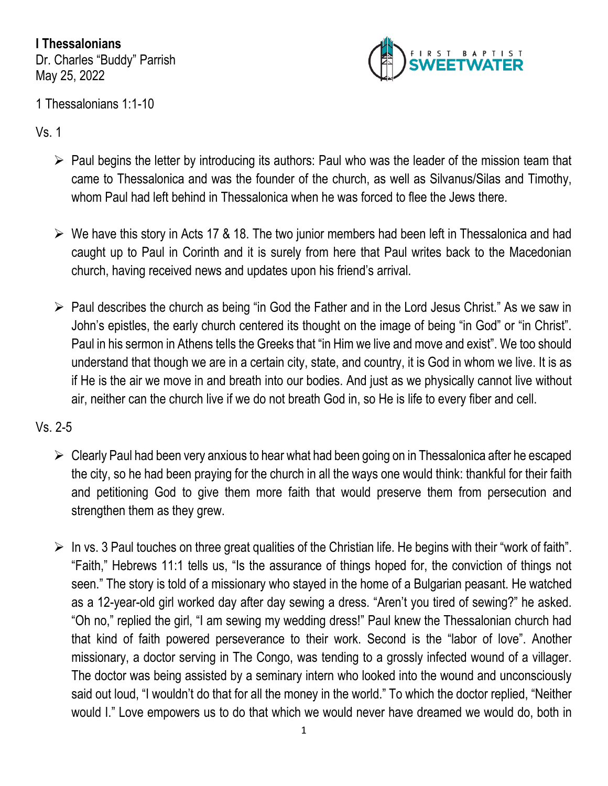**I Thessalonians** Dr. Charles "Buddy" Parrish May 25, 2022



1 Thessalonians 1:1-10

Vs. 1

- ➢ Paul begins the letter by introducing its authors: Paul who was the leader of the mission team that came to Thessalonica and was the founder of the church, as well as Silvanus/Silas and Timothy, whom Paul had left behind in Thessalonica when he was forced to flee the Jews there.
- $\triangleright$  We have this story in Acts 17 & 18. The two junior members had been left in Thessalonica and had caught up to Paul in Corinth and it is surely from here that Paul writes back to the Macedonian church, having received news and updates upon his friend's arrival.
- ➢ Paul describes the church as being "in God the Father and in the Lord Jesus Christ." As we saw in John's epistles, the early church centered its thought on the image of being "in God" or "in Christ". Paul in his sermon in Athens tells the Greeks that "in Him we live and move and exist". We too should understand that though we are in a certain city, state, and country, it is God in whom we live. It is as if He is the air we move in and breath into our bodies. And just as we physically cannot live without air, neither can the church live if we do not breath God in, so He is life to every fiber and cell.

## Vs. 2-5

- ➢ Clearly Paul had been very anxious to hear what had been going on in Thessalonica after he escaped the city, so he had been praying for the church in all the ways one would think: thankful for their faith and petitioning God to give them more faith that would preserve them from persecution and strengthen them as they grew.
- $\triangleright$  In vs. 3 Paul touches on three great qualities of the Christian life. He begins with their "work of faith". "Faith," Hebrews 11:1 tells us, "Is the assurance of things hoped for, the conviction of things not seen." The story is told of a missionary who stayed in the home of a Bulgarian peasant. He watched as a 12-year-old girl worked day after day sewing a dress. "Aren't you tired of sewing?" he asked. "Oh no," replied the girl, "I am sewing my wedding dress!" Paul knew the Thessalonian church had that kind of faith powered perseverance to their work. Second is the "labor of love". Another missionary, a doctor serving in The Congo, was tending to a grossly infected wound of a villager. The doctor was being assisted by a seminary intern who looked into the wound and unconsciously said out loud, "I wouldn't do that for all the money in the world." To which the doctor replied, "Neither would I." Love empowers us to do that which we would never have dreamed we would do, both in